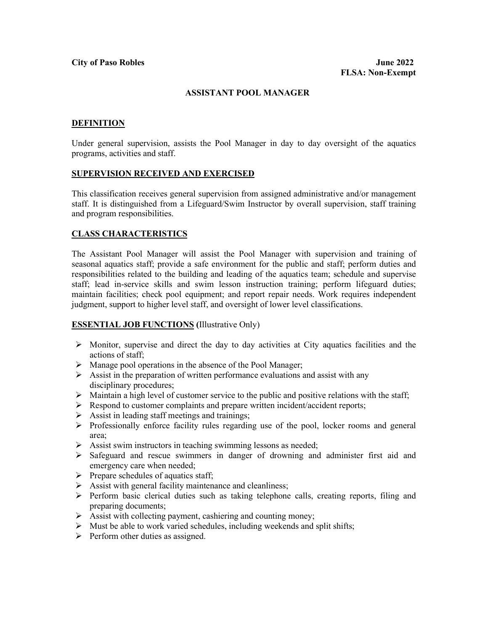#### **ASSISTANT POOL MANAGER**

### **DEFINITION**

Under general supervision, assists the Pool Manager in day to day oversight of the aquatics programs, activities and staff.

#### **SUPERVISION RECEIVED AND EXERCISED**

This classification receives general supervision from assigned administrative and/or management staff. It is distinguished from a Lifeguard/Swim Instructor by overall supervision, staff training and program responsibilities.

## **CLASS CHARACTERISTICS**

The Assistant Pool Manager will assist the Pool Manager with supervision and training of seasonal aquatics staff; provide a safe environment for the public and staff; perform duties and responsibilities related to the building and leading of the aquatics team; schedule and supervise staff; lead in-service skills and swim lesson instruction training; perform lifeguard duties; maintain facilities; check pool equipment; and report repair needs. Work requires independent judgment, support to higher level staff, and oversight of lower level classifications.

## **ESSENTIAL JOB FUNCTIONS (**Illustrative Only)

- $\triangleright$  Monitor, supervise and direct the day to day activities at City aquatics facilities and the actions of staff;
- $\triangleright$  Manage pool operations in the absence of the Pool Manager;
- $\triangleright$  Assist in the preparation of written performance evaluations and assist with any disciplinary procedures;
- $\triangleright$  Maintain a high level of customer service to the public and positive relations with the staff;
- $\triangleright$  Respond to customer complaints and prepare written incident/accident reports;
- $\triangleright$  Assist in leading staff meetings and trainings;
- $\triangleright$  Professionally enforce facility rules regarding use of the pool, locker rooms and general area;
- $\triangleright$  Assist swim instructors in teaching swimming lessons as needed;
- $\triangleright$  Safeguard and rescue swimmers in danger of drowning and administer first aid and emergency care when needed;
- $\triangleright$  Prepare schedules of aquatics staff;
- $\triangleright$  Assist with general facility maintenance and cleanliness;
- Perform basic clerical duties such as taking telephone calls, creating reports, filing and preparing documents;
- $\triangleright$  Assist with collecting payment, cashiering and counting money;
- $\triangleright$  Must be able to work varied schedules, including weekends and split shifts;
- $\triangleright$  Perform other duties as assigned.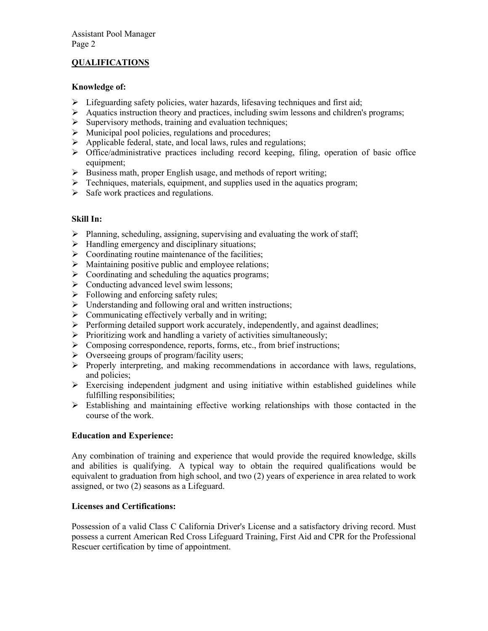## **QUALIFICATIONS**

## **Knowledge of:**

- $\triangleright$  Lifeguarding safety policies, water hazards, lifesaving techniques and first aid;
- $\triangleright$  Aquatics instruction theory and practices, including swim lessons and children's programs;
- $\triangleright$  Supervisory methods, training and evaluation techniques;
- $\triangleright$  Municipal pool policies, regulations and procedures;
- $\triangleright$  Applicable federal, state, and local laws, rules and regulations;
- $\triangleright$  Office/administrative practices including record keeping, filing, operation of basic office equipment;
- $\triangleright$  Business math, proper English usage, and methods of report writing;
- $\triangleright$  Techniques, materials, equipment, and supplies used in the aquatics program;
- $\triangleright$  Safe work practices and regulations.

# **Skill In:**

- $\triangleright$  Planning, scheduling, assigning, supervising and evaluating the work of staff;
- $\triangleright$  Handling emergency and disciplinary situations;
- $\triangleright$  Coordinating routine maintenance of the facilities;
- $\triangleright$  Maintaining positive public and employee relations;
- $\triangleright$  Coordinating and scheduling the aquatics programs;
- $\triangleright$  Conducting advanced level swim lessons;
- $\triangleright$  Following and enforcing safety rules:
- $\triangleright$  Understanding and following oral and written instructions;
- $\triangleright$  Communicating effectively verbally and in writing;
- $\triangleright$  Performing detailed support work accurately, independently, and against deadlines;
- $\triangleright$  Prioritizing work and handling a variety of activities simultaneously;
- $\triangleright$  Composing correspondence, reports, forms, etc., from brief instructions;
- ▶ Overseeing groups of program/facility users;
- $\triangleright$  Properly interpreting, and making recommendations in accordance with laws, regulations, and policies;
- $\triangleright$  Exercising independent judgment and using initiative within established guidelines while fulfilling responsibilities;
- $\triangleright$  Establishing and maintaining effective working relationships with those contacted in the course of the work.

## **Education and Experience:**

Any combination of training and experience that would provide the required knowledge, skills and abilities is qualifying. A typical way to obtain the required qualifications would be equivalent to graduation from high school, and two (2) years of experience in area related to work assigned, or two (2) seasons as a Lifeguard.

# **Licenses and Certifications:**

Possession of a valid Class C California Driver's License and a satisfactory driving record. Must possess a current American Red Cross Lifeguard Training, First Aid and CPR for the Professional Rescuer certification by time of appointment.